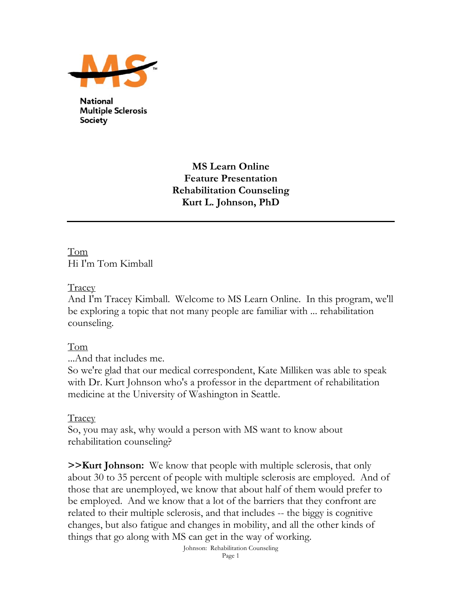

**National Multiple Sclerosis Society** 

> **MS Learn Online Feature Presentation Rehabilitation Counseling Kurt L. Johnson, PhD**

Tom Hi I'm Tom Kimball

Tracey

And I'm Tracey Kimball. Welcome to MS Learn Online. In this program, we'll be exploring a topic that not many people are familiar with ... rehabilitation counseling.

Tom

...And that includes me.

So we're glad that our medical correspondent, Kate Milliken was able to speak with Dr. Kurt Johnson who's a professor in the department of rehabilitation medicine at the University of Washington in Seattle.

Tracey

So, you may ask, why would a person with MS want to know about rehabilitation counseling?

**>>Kurt Johnson:** We know that people with multiple sclerosis, that only about 30 to 35 percent of people with multiple sclerosis are employed. And of those that are unemployed, we know that about half of them would prefer to be employed. And we know that a lot of the barriers that they confront are related to their multiple sclerosis, and that includes -- the biggy is cognitive changes, but also fatigue and changes in mobility, and all the other kinds of things that go along with MS can get in the way of working.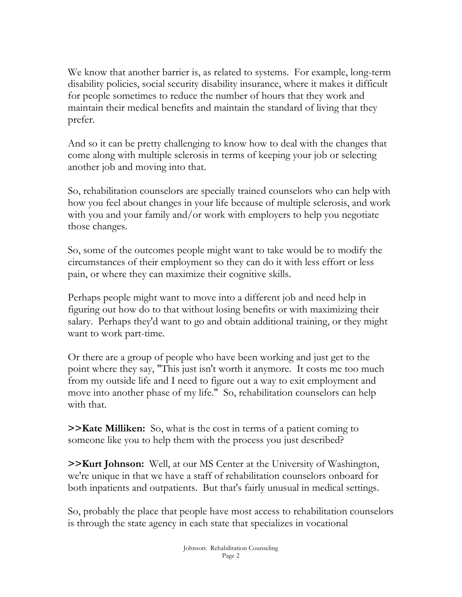We know that another barrier is, as related to systems. For example, long-term disability policies, social security disability insurance, where it makes it difficult for people sometimes to reduce the number of hours that they work and maintain their medical benefits and maintain the standard of living that they prefer.

And so it can be pretty challenging to know how to deal with the changes that come along with multiple sclerosis in terms of keeping your job or selecting another job and moving into that.

So, rehabilitation counselors are specially trained counselors who can help with how you feel about changes in your life because of multiple sclerosis, and work with you and your family and/or work with employers to help you negotiate those changes.

So, some of the outcomes people might want to take would be to modify the circumstances of their employment so they can do it with less effort or less pain, or where they can maximize their cognitive skills.

Perhaps people might want to move into a different job and need help in figuring out how do to that without losing benefits or with maximizing their salary. Perhaps they'd want to go and obtain additional training, or they might want to work part-time.

Or there are a group of people who have been working and just get to the point where they say, "This just isn't worth it anymore. It costs me too much from my outside life and I need to figure out a way to exit employment and move into another phase of my life." So, rehabilitation counselors can help with that.

**>>Kate Milliken:** So, what is the cost in terms of a patient coming to someone like you to help them with the process you just described?

**>>Kurt Johnson:** Well, at our MS Center at the University of Washington, we're unique in that we have a staff of rehabilitation counselors onboard for both inpatients and outpatients. But that's fairly unusual in medical settings.

So, probably the place that people have most access to rehabilitation counselors is through the state agency in each state that specializes in vocational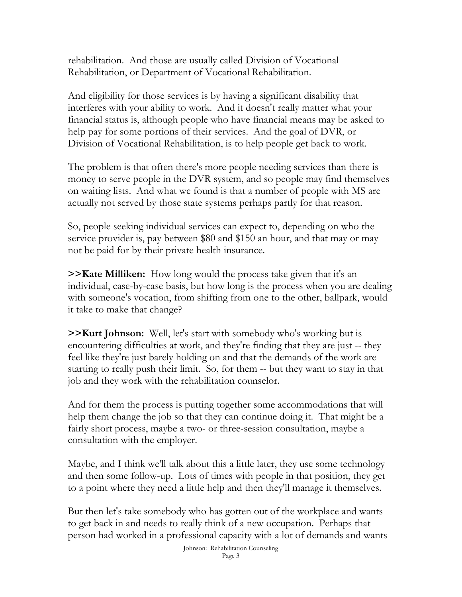rehabilitation. And those are usually called Division of Vocational Rehabilitation, or Department of Vocational Rehabilitation.

And eligibility for those services is by having a significant disability that interferes with your ability to work. And it doesn't really matter what your financial status is, although people who have financial means may be asked to help pay for some portions of their services. And the goal of DVR, or Division of Vocational Rehabilitation, is to help people get back to work.

The problem is that often there's more people needing services than there is money to serve people in the DVR system, and so people may find themselves on waiting lists. And what we found is that a number of people with MS are actually not served by those state systems perhaps partly for that reason.

So, people seeking individual services can expect to, depending on who the service provider is, pay between \$80 and \$150 an hour, and that may or may not be paid for by their private health insurance.

**>>Kate Milliken:** How long would the process take given that it's an individual, case-by-case basis, but how long is the process when you are dealing with someone's vocation, from shifting from one to the other, ballpark, would it take to make that change?

**>>Kurt Johnson:** Well, let's start with somebody who's working but is encountering difficulties at work, and they're finding that they are just -- they feel like they're just barely holding on and that the demands of the work are starting to really push their limit. So, for them -- but they want to stay in that job and they work with the rehabilitation counselor.

And for them the process is putting together some accommodations that will help them change the job so that they can continue doing it. That might be a fairly short process, maybe a two- or three-session consultation, maybe a consultation with the employer.

Maybe, and I think we'll talk about this a little later, they use some technology and then some follow-up. Lots of times with people in that position, they get to a point where they need a little help and then they'll manage it themselves.

But then let's take somebody who has gotten out of the workplace and wants to get back in and needs to really think of a new occupation. Perhaps that person had worked in a professional capacity with a lot of demands and wants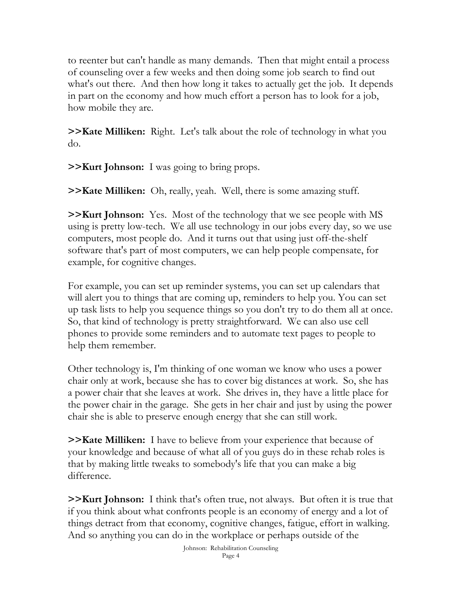to reenter but can't handle as many demands. Then that might entail a process of counseling over a few weeks and then doing some job search to find out what's out there. And then how long it takes to actually get the job. It depends in part on the economy and how much effort a person has to look for a job, how mobile they are.

**>>Kate Milliken:** Right. Let's talk about the role of technology in what you do.

**>>Kurt Johnson:** I was going to bring props.

**>>Kate Milliken:** Oh, really, yeah. Well, there is some amazing stuff.

**>>Kurt Johnson:** Yes. Most of the technology that we see people with MS using is pretty low-tech. We all use technology in our jobs every day, so we use computers, most people do. And it turns out that using just off-the-shelf software that's part of most computers, we can help people compensate, for example, for cognitive changes.

For example, you can set up reminder systems, you can set up calendars that will alert you to things that are coming up, reminders to help you. You can set up task lists to help you sequence things so you don't try to do them all at once. So, that kind of technology is pretty straightforward. We can also use cell phones to provide some reminders and to automate text pages to people to help them remember.

Other technology is, I'm thinking of one woman we know who uses a power chair only at work, because she has to cover big distances at work. So, she has a power chair that she leaves at work. She drives in, they have a little place for the power chair in the garage. She gets in her chair and just by using the power chair she is able to preserve enough energy that she can still work.

**>>Kate Milliken:** I have to believe from your experience that because of your knowledge and because of what all of you guys do in these rehab roles is that by making little tweaks to somebody's life that you can make a big difference.

**>>Kurt Johnson:** I think that's often true, not always. But often it is true that if you think about what confronts people is an economy of energy and a lot of things detract from that economy, cognitive changes, fatigue, effort in walking. And so anything you can do in the workplace or perhaps outside of the